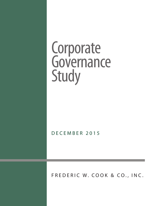# Corporate Governance Study

DECEMBER 2015

FREDERIC W. COOK & CO., INC.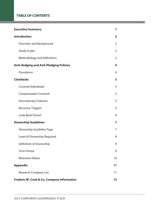# **Table of Contents**

| <b>Executive Summary</b>                              | 1                       |
|-------------------------------------------------------|-------------------------|
| <b>Introduction</b>                                   | $\overline{\mathbf{2}}$ |
| Overview and Background                               | $\overline{2}$          |
| <b>Study Scope</b>                                    | $\overline{2}$          |
| <b>Methodology and Definitions</b>                    | 2                       |
| <b>Anti-Hedging and Anti-Pledging Policies</b>        | 4                       |
| Prevalence                                            | 4                       |
| <b>Clawbacks</b>                                      | 5                       |
| <b>Covered Individuals</b>                            | 5                       |
| <b>Compensation Covered</b>                           | 5                       |
| <b>Discretionary Features</b>                         | 5                       |
| <b>Recovery Triggers</b>                              | 5                       |
| Look-Back Period                                      | 6                       |
| <b>Ownership Guidelines</b>                           | 7                       |
| Ownership Guideline Type                              | 7                       |
| Level of Ownership Required                           | 8                       |
| Definition of Ownership                               | 9                       |
| <b>Time Period</b>                                    | 9                       |
| <b>Retention Ratios</b>                               | 10                      |
| <b>Appendix</b>                                       | 11                      |
| <b>Research Company List</b>                          | 11                      |
| <b>Frederic W. Cook &amp; Co. Company Information</b> | 13                      |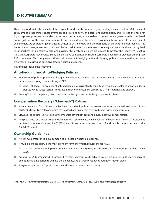Over the past decade, the stability of the corporate world has been tested by accounting scandals and the 2008 financial crisis, among other things. These events eroded relations between Boards and shareholders, and stressed the need for high corporate governance standards to restore trust. Among shareholders today, corporate governance is considered an integral part of the investing framework, and is relied upon to provide accountability and protect the interests of shareholders. As corporate governance is critical to shareholders and the backbone of efficient financial markets, it is important for management and board members to be informed on the latest corporate governance trends and recognized "best practices". In an effort to help one navigate this evolving area we are pleased to present the Frederic W. Cook & Co. 2015 Corporate Governance Study on executive compensation-related corporate governance practices among Top 250 companies<sup>1</sup>. This study covers three main areas: anti-hedging and anti-pledging policies, compensation recovery ("clawback") policies, and executive stock ownership guidelines.

Key findings include the following:

# **Anti-Hedging and Anti-Pledging Policies**

- Prevalence of policies prohibiting hedging by executives among Top 250 companies is 92%; prevalence of policies prohibiting pledging is not as strong at 74%.
	- **N** Across all sectors, prevalence of anti-hedging polices is relatively consistent, while the prevalence of anti-pledging polices varies across sectors (from 33% in telecommunications services to 91% in materials and energy).
- **n** Among Top 250 companies, 73% have both anti-hedging and anti-pledging polices in place.

## **Compensation Recovery ("Clawback") Policies**

- n Ninety percent of Top 250 companies have a clawback policy that covers one or more named executive officers ("NEOs"); 78% of Top 250 companies have a clawback policy that covers a broader group of executives.
- **n** Clawback policies for 78% of Top 250 companies cover both cash and equity incentive compensation.
- $\blacksquare$  The prevalence of clawback trigger definitions was approximately equal for those that include "financial restatement (no fraud or misconduct required)" (38%) and "financial restatement due to fraud or misconduct on part of the executive" (39%).

## **Ownership Guidelines**

- Ninety-five percent of Top 250 companies disclosed ownership guidelines.
- A multiple of base salary is the most prevalent form of ownership guideline for NEOs.
	- **n** The most prevalent multiple for CEOs is 6 times base salary (40%); for other NEOs it ranges from 3x-3.9x base salary (46%).
- **n** Among Top 250 companies, 61% provide five years for executives to achieve ownership guidelines. Thirty-two percent do not have a time period to achieve the guideline, and of these 67% have a retention ratio in place.
- Forty-seven percent of Top 250 companies disclosed a retention ratio policy.

*1 The Top 250 companies represent the largest U.S. companies in the Standard & Poor's 500 Index by market capitalization.*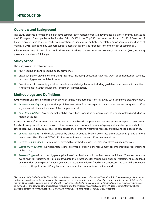## **Overview and Background**

This study presents information on executive compensation-related corporate governance practices currently in place at the 250 largest U.S. companies in the Standard & Poor's 500 Index (Top 250 companies) as of March 31, 2015. Selection of these companies was based on market capitalization, i.e., share price multiplied by total common shares outstanding as of March 31, 2015, as reported by Standard & Poor's Research Insight (see Appendix for complete list of companies).

All information was obtained from public documents filed with the Securities and Exchange Commission (SEC), including proxy statements and 8-K filings.

## **Study Scope**

The study covers the following topics:

- Anti-hedging and anti-pledging policy prevalence.
- **n** Clawback policy prevalence and design features, including executives covered, types of compensation covered, recovery triggers, and look-back period.
- **n** Executive stock ownership guideline prevalence and design features, including guideline type, ownership definition, length of time to achieve guidelines, and stock retention ratios.

## **Methodology and Definitions**

**Anti-hedging** and **anti-pledging** policy prevalence data were gathered from reviewing each company's proxy statement.

- *Anti-Hedging Policy* Any policy that prohibits executives from engaging in transactions that are designed to offset any decrease in the market value of the company's stock.
- **n** *Anti-Pledging Policy* Any policy that prohibits executives from using company stock as security for loans (including in margin accounts).

Clawback policies<sup>2</sup> allow companies to recover incentive-based compensation that was erroneously paid to executives. Clawback policy prevalence and design feature data collected from each company's proxy statement are grouped into five categories: covered individuals, covered compensation, discretionary features, recovery triggers, and look-back period.

- *Covered Individuals* Individuals covered by clawback policies, broken down into three categories: (i) one or more named executive officers ("NEOs"), (ii) other current executives, and (iii) former executives.
- n *Covered Compensation* Pay elements covered by clawback policies (i.e., cash incentives, equity incentives)
- **n** *Discretionary Features* Clawback features that allow for discretion in the recoupment of compensation or enforcement of the policy.
- **n** *Recovery Trigger* Event that triggers application of the clawback policy to the covered individuals. The most common event, financial restatement, is broken down into three categories for this study: (i) financial restatement due to fraud or misconduct on the part of anyone, (ii) financial restatement due to fraud or misconduct on the part of the executive covered by the policy, and (iii) any financial restatement (no fraud/misconduct required).

*2 Section 954 of the Dodd-Frank Wall Street Reform and Consumer Protection Act of 2010 (the "Dodd-Frank Act") requires companies to adopt and enforce a policy providing for repayment of incentive-based compensation from executive officers when restated financial statements indicated there has been an overpayment. The SEC issued proposed rules for implementation of the Dodd-Frank Act clawback requirement on July 1, 2015, and assuming the final rules are consistent with the proposed rules, most companies will need to amend their clawback policies to comply. Prior to finalization of the rules, however, we see a wide variety of clawback policy designs.*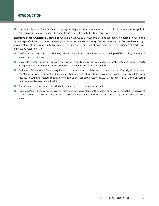■ *Look-back Period* – Once a clawback policy is triggered, the compensation to which recoupment may apply is compensation paid with respect to a specific time period prior to the triggering event.

**Executive Stock Ownership Guidelines** require executives to achieve pre-determined equity ownership levels, often within a specified period of time. Ownership guideline prevalence and design feature data collected from each company's proxy statement are grouped into five categories: guideline type, level of ownership required, definition of stock, time period, and retention ratios.

- n *Guideline Type* Pre-determined equity ownership goals are generally stated as a multiple of base salary, number of shares, or value of shares.
- *Level of Ownership Required* Data on the level of ownership required were collected for the CEO, and for other NEOs as a group. If values differed among other NEOs, an average value was calculated.
- **n** *Definition of Ownership* Type of equity which counts toward achievement of the quideline. Virtually all companies count shares owned outright and shares (or share units) held in deferral accounts. However, practices differ with respect to counting vested options, unvested options, unvested restricted stock/stock units (RSUs), and unvested performance shares/share units (PSUs).
- *Time Period* The time period by which the ownership quidelines must be met.
- **n** *Retention Ratio* Requires executives to retain a certain percentage of the shares they acquire through the exercise of stock options or the vesting of other stock-based awards. Typically expressed as a percentage of net-after-tax profit shares.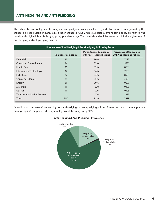# **Anti-Hedging and Anti-Pledging**

The exhibit below displays anti-hedging and anti-pledging policy prevalence by industry sector, as categorized by the Standard & Poor's Global Industry Classification Standard (GICS). Across all sectors, anti-hedging policy prevalence was consistently high while anti-pledging policy prevalence lags. The materials and utilities sectors exhibit the highest use of anti-hedging and anti-pledging policies.

| Prevalence of Anti-Hedging & Anti-Pledging Policies by Sector |                            |                                                              |                                                               |  |  |  |
|---------------------------------------------------------------|----------------------------|--------------------------------------------------------------|---------------------------------------------------------------|--|--|--|
|                                                               | <b>Number of Companies</b> | <b>Percentage of Companies</b><br>with Anti-Hedging Policies | <b>Percentage of Companies</b><br>with Anti-Pledging Policies |  |  |  |
| Financials                                                    | 47                         | 96%                                                          | 70%                                                           |  |  |  |
| <b>Consumer Discretionary</b>                                 | 34                         | 82%                                                          | 59%                                                           |  |  |  |
| <b>Health Care</b>                                            | 36                         | 92%                                                          | 86%                                                           |  |  |  |
| Information Technology                                        | 34                         | 94%                                                          | 76%                                                           |  |  |  |
| Industrials                                                   | 27                         | 93%                                                          | 85%                                                           |  |  |  |
| <b>Consumer Staples</b>                                       | 26                         | 85%                                                          | 50%                                                           |  |  |  |
| Energy                                                        | 21                         | 90%                                                          | 90%                                                           |  |  |  |
| <b>Materials</b>                                              | 11                         | 100%                                                         | 91%                                                           |  |  |  |
| <b>Utilities</b>                                              | 11                         | 100%                                                         | 91%                                                           |  |  |  |
| <b>Telecommunication Services</b>                             | 3                          | 100%                                                         | 33%                                                           |  |  |  |
| <b>Total</b>                                                  | 250                        | 92%                                                          | 74%                                                           |  |  |  |

Overall, most companies (73%) employ both anti-hedging and anti-pledging policies. The second most common practice among Top 250 companies is to only employ an anti-hedging policy (18%).



#### **Anti-Hedging &Anti-Pledging – Prevalence**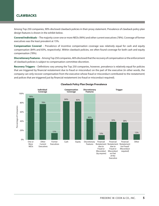## **CLAWBACKS**

Among Top 250 companies, 90% disclosed clawback policies in their proxy statement. Prevalence of clawback policy plan design features is shown in the exhibit below.

**Covered Individuals** – The majority cover one or more NEOs (90%) and other current executives (78%). Coverage of former executives was the least prevalent at 15%.

**Compensation Covered** – Prevalence of incentive compensation coverage was relatively equal for cash and equity compensation (84% and 83%, respectively). Within clawback policies, we often found coverage for both cash and equity compensation (78%).

**Discretionary Features** – Among Top 250 companies, 46% disclosed that the recovery of compensation or the enforcement of clawback policies is subject to compensation committee discretion.

**Recovery Triggers** – Definitions vary among the Top 250 companies, however, prevalence is relatively equal for policies that are triggered by financial restatement due to fraud or misconduct on the part of the executive (in other words, the company can only recover compensation from the executive whose fraud or misconduct contributed to the restatement) and polices that are triggered just by financial restatement (no fraud or misconduct required).



#### **Clawback Policy Plan Design Prevalence**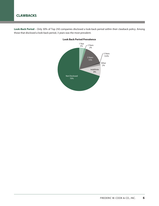**Look-Back Period** – Only 30% of Top 250 companies disclosed a look-back period within their clawback policy. Among those that disclosed a look-back period, 3 years was the most prevalent.



### **Look Back Period Prevalence**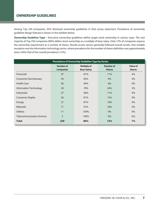Among Top 250 companies, 95% disclosed ownership guidelines in their proxy statement. Prevalence of ownership guideline design features is shown in the exhibits below.

**Ownership Guideline Type** – Executive ownership guidelines define target stock ownership in various ways. The vast majority of Top 250 companies (86%) define stock ownership as a multiple of base salary. Only 12% of companies express the ownership requirement as a number of shares. Results across sectors generally followed overall results. One notable exception was the information technology sector, where prevalence for the number of shares definition was approximately twice (24%) that of the overall prevalence (12%).

| Prevalence of Ownership Guideline Type by Sector |                                      |                                          |                                   |                                  |  |  |  |
|--------------------------------------------------|--------------------------------------|------------------------------------------|-----------------------------------|----------------------------------|--|--|--|
|                                                  | <b>Number of</b><br><b>Companies</b> | <b>Multiple of</b><br><b>Base Salary</b> | <b>Number of</b><br><b>Shares</b> | <b>Value of</b><br><b>Shares</b> |  |  |  |
| <b>Financials</b>                                | 47                                   | 81%                                      | 11%                               | 4%                               |  |  |  |
| <b>Consumer Discretionary</b>                    | 34                                   | 82%                                      | 9%                                | $0\%$                            |  |  |  |
| <b>Health Care</b>                               | 36                                   | 94%                                      | 6%                                | $0\%$                            |  |  |  |
| Information Technology                           | 34                                   | 79%                                      | 24%                               | 3%                               |  |  |  |
| <b>Industrials</b>                               | 27                                   | 96%                                      | 11%                               | 0%                               |  |  |  |
| <b>Consumer Staples</b>                          | 26                                   | 81%                                      | 12%                               | 0%                               |  |  |  |
| Energy                                           | 21                                   | 81%                                      | 10%                               | 0%                               |  |  |  |
| <b>Materials</b>                                 | 11                                   | 91%                                      | 18%                               | $0\%$                            |  |  |  |
| <b>Utilities</b>                                 | 11                                   | 100%                                     | 9%                                | 0%                               |  |  |  |
| <b>Telecommunication Services</b>                | 3                                    | 100%                                     | $0\%$                             | 0%                               |  |  |  |
| <b>Total</b>                                     | 250                                  | 86%                                      | 12%                               | 1%                               |  |  |  |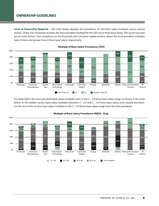## **OWNERSHIP GUIDELINES**

**Level of Ownership Required** – The chart below displays the prevalence of CEO base salary multiples across various sectors. Of the 250 companies studied, the most prevalent multiple for the CEO was 6 times base salary. This result was seen across most sectors. Two exceptions are the financials and consumer staples sectors, where the most prevalent multiples were 5 times and greater than 6 times base salary, respectively.



**Multiple of Base Salary Prevalence (CEO)**

For other NEOs, the most prevalent base salary multiples were in the 3 – 3.9 times base salary range, as shown in the chart below. In the utilities sector, base salary multiples between 2 – 2.9 and 3 – 3.9 times base salary were equally prevalent. For the rest of the sectors, base salary multiples in the 3 – 3.9 times base salary range were the most prevalent.



#### **Multiple of Base Salary Prevalence (NEOS - Avg)**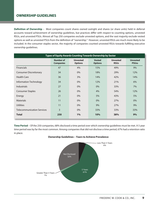## **OWNERSHIP GUIDELINES**

**Definition of Ownership** – Most companies count shares owned outright and shares (or share units) held in deferral accounts toward achievement of ownership guidelines, but practices differ with respect to counting options, unvested RSUs, and unvested PSUs. Almost all Top 250 companies exclude unvested options, and the vast majority exclude vested options as well as unvested PSUs from the definition of "ownership." However, unvested RSUs are much more likely to be included. In the consumer staples sector, the majority of companies counted unvested RSUs towards fulfilling executive ownership guidelines.

| Types of Equity Awards Counting Towards Ownership by Sector |                                      |                                   |                                 |                                |                                 |  |
|-------------------------------------------------------------|--------------------------------------|-----------------------------------|---------------------------------|--------------------------------|---------------------------------|--|
|                                                             | <b>Number of</b><br><b>Companies</b> | <b>Unvested</b><br><b>Options</b> | <b>Vested</b><br><b>Options</b> | <b>Unvested</b><br><b>RSUs</b> | <b>Unvested</b><br><b>PSUss</b> |  |
| <b>Financials</b>                                           | 47                                   | 4%                                | 15%                             | 49%                            | 9%                              |  |
| <b>Consumer Discretionary</b>                               | 34                                   | $0\%$                             | 18%                             | 29%                            | 12%                             |  |
| <b>Health Care</b>                                          | 36                                   | 3%                                | 14%                             | 42%                            | 14%                             |  |
| Information Technology                                      | 34                                   | $0\%$                             | 12%                             | 21%                            | 6%                              |  |
| <b>Industrials</b>                                          | 27                                   | $0\%$                             | 0%                              | 33%                            | 7%                              |  |
| <b>Consumer Staples</b>                                     | 26                                   | $0\%$                             | 4%                              | 54%                            | 12%                             |  |
| Energy                                                      | 21                                   | $0\%$                             | 5%                              | 43%                            | 5%                              |  |
| <b>Materials</b>                                            | 11                                   | $0\%$                             | $0\%$                           | 27%                            | $0\%$                           |  |
| <b>Utilities</b>                                            | 11                                   | $0\%$                             | 9%                              | 27%                            | 9%                              |  |
| <b>Telecommunication Services</b>                           | 3                                    | $0\%$                             | 33%                             | 33%                            | 33%                             |  |
| <b>Total</b>                                                | 250                                  | 1%                                | 10%                             | 38%                            | 9%                              |  |

**Time Period** – Of the 250 companies, 68% disclosed a time period over which ownership guidelines must be met. A 5 year time period was by far the most common. Among companies that did not disclose a time period, 67% had a retention ratio in place.



#### **Ownership Guidelines – Years to Achieve Prevalence**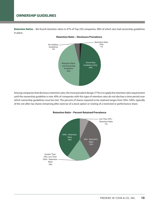**Retention Ratios** – We found retention ratios in 47% of Top 250 companies, 98% of which also had ownership guidelines in place.



#### **Retention Ratio – Disclosure Prevalence**

Among companies that disclose a retention ratio, the most prevalent design (77%) is to apply the retention ratio requirement until the ownership guideline is met; 49% of companies with this type of retention ratio do not disclose a time period over which ownership guidelines must be met. The percent of shares required to be retained ranges from 50%-100%, typically of the net-after-tax shares remaining after exercise of a stock option or vesting of a restricted or performance share.



#### **Retention Ratio – Percent Retained Prevalence**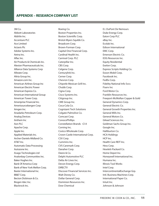3M Co. Abbott Laboratories AbbVie Inc. Accenture PLC Ace Limited Actavis Plc Adobe Systems Inc. Aetna Inc. Aflac Inc. Air Products & Chemicals Inc. Alexion Pharmaceuticals Inc. Alliance Data Systems Corp Allstate Corp. Altria Group Inc. Amazon.com Inc. American Airlines Group Inc American Electric Power American Express Co. American International Group American Tower Corp. Ameriprise Financial Inc. Amerisourcebergen Corp Amgen Inc. Anadarko Petroleum Corp. Analog Devices Anthem Inc Aon PLC Apache Corp. Apple Inc. Applied Materials Inc. Archer-Daniels-Midland Co. AT&T Inc. Automatic Data Processing Autozone Inc. Avago Technologies Ltd Avalonbay Communities Inc. Baker Hughes Inc. Bank Of America Corp Bank of New York Mellon Corp. Baxter International Inc. BB&T Corp. Becton Dickinson & Co. Biogen Idec Inc. Blackrock Inc.

Boeing Co. Boston Properties Inc. Boston Scientific Corp. Bristol-Myers Squibb Co. Broadcom Corp. Brown-Forman Corp. Capital One Financial Corp. Cardinal Health Inc. Carnival Corp. PLC Caterpillar Inc. CBS Corp. Celgene Corp. Centurylink Inc. Cerner Corp. Chevron Corp. Chipotle Mexican Grill Inc. Chubb Corp. Cigna Corp. Cisco Systems Inc. Citigroup Inc. CME Group Inc. Coca-Cola Co. Cognizant Tech Solutions Colgate-Palmolive Co. Comcast Corp. ConocoPhillips Constellation Brands -Cl A Corning Inc. Costco Wholesale Corp. Crown Castle International Corp. CSX Corp. Cummins Inc. CVS Caremark Corp. Danaher Corp. Deere & Co. Delphi Automotive PLC Delta Air Lines Inc. Devon Energy Corp. DIRECTV Discover Financial Services Inc. Walt Disney Co. Dollar General Corp. Dominion Resources Inc. Dow Chemical

E.I. DuPont De Nemours Duke Energy Corp. Eaton Corp PLC eBay Inc. Ecolab Inc. Edison International EMC Corp. Emerson Electric Co. EOG Resources Inc. Equity Residential Exelon Corp. Express Scripts Holding Co. Exxon Mobil Corp. Facebook Inc. FedEx Corp. Fidelity National Info Svcs Fiserv Inc Ford Motor Co. Franklin Resources Inc. Freeport-McMoRan Copper & Gold General Dynamics Corp. General Electric Co. General Growth Properties Inc. General Mills Inc. General Motors Co. Gilead Sciences Inc. Goldman Sachs Group Inc. Google Inc. Halliburton Co. HCA Holdings HCP Inc. Health Care REIT Inc. Hess Corp. Hewlett-Packard Co. Home Depot Inc. Honeywell International Inc. Humana Inc. Illinois Tool Works Intel Corp. IntercontinentalExchange Grp. Intl. Business Machines Corp. International Paper Co. Intuit Inc. Johnson & Johnson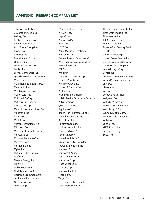Johnson Controls Inc. JPMorgan Chase & Co. Kellogg Co. Kimberly-Clark Corp. Kinder Morgan Inc. Kraft Foods Group Inc. Kroger Co. L Brands Inc Estee Lauder Cos. Inc. Eli Lilly & Co. Lockheed Martin Corp. Lorillard Inc. Lowe's Companies Inc. LyondellBasell Industries N.V. Macy's Inc. Marathon Petroleum Corp. Marriott Intl Inc Marsh & McLennan Cos. MasterCard Inc. McDonald's Corp. McGraw Hill Financial McKesson Corp. Mead Johnson Nutrition Co Medtronic Inc. Merck & Co. MetLife Inc. Micron Technology Inc. Microsoft Corp. Mondelez International Inc. Monsanto Co. Monster Beverage Corp Moody's Corp. Morgan Stanley Mylan Inc. National Oilwell Varco Inc. Netflix Inc. Nextera Energy Inc. Nike Inc. Noble Energy Inc. Norfolk Southern Corp. Northrop Grumman Corp. Occidental Petroleum Corp. Omnicom Group Oracle Corp.

O'Reilly Automotive Inc PACCAR Inc. PepsiCo Inc. Perrigo Co Plc Pfizer Inc. PG&E Corp. Philip Morris International Phillips 66 Co. Pioneer Natural Resources Co. PNC Financial Svcs Group Inc. PPG Industries Inc. PPL Corp. Praxair Inc. Precision Castparts Corp. T. Rowe Price Group Priceline Group Inc. Procter & Gamble Co. Prologis Inc. Prudential Financial Inc. Public Service Enterprise Group Inc. Public Storage QUALCOMM Inc. Raytheon Co. Regeneron Pharmaceuticals Reynolds American Inc. Ross Stores Inc Salesforce.com Inc. Schlumberger Limited Charles Schwab Corp. Sempra Energy Sherwin-Williams Co. Simon Property Group Inc. Skyworks Solutions Inc Southern Co. Southwest Airlines Spectra Energy Corp. Starbucks Corp. State Street Corp. Stryker Corp. Suntrust Banks Inc. Sysco Corp. Target Corp. TE Connectivity Limited Texas Instruments Inc.

Thermo Fisher Scientific Inc. Time Warner Cable Inc. Time Warner Inc. TJX Companies Inc. Travelers Cos. Inc. Twenty-First Century Fox Inc. U.S. Bancorp Union Pacific Corp. United Parcel Service Inc. United Technologies Corp. UnitedHealth Group Inc. Valero Energy Corp. Ventas Inc. Verizon Communications Inc. Vertex Pharmaceuticals Inc. VF Corp. Viacom Inc. Visa Inc. Vornado Realty Trust Walgreen Co. Wal-Mart Stores Inc. Waste Management Inc. Wells Fargo & Co. Western Digital Corp. Whole Foods Market Inc. Williams Cos Inc. Yahoo! Inc. YUM! Brands Inc. Zimmer Holdings Zoetis Inc